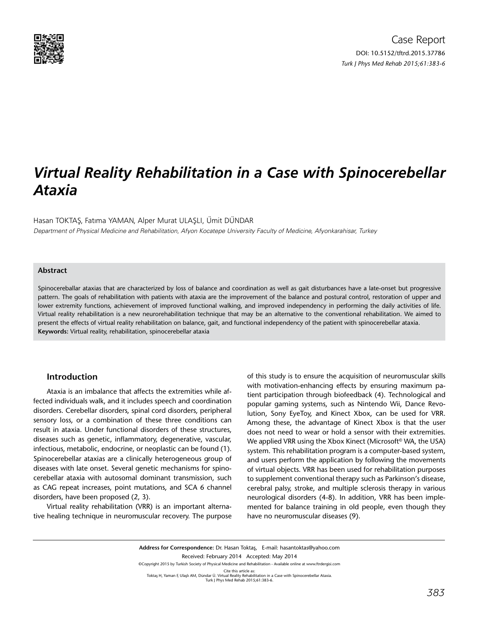

# *Virtual Reality Rehabilitation in a Case with Spinocerebellar Ataxia*

Hasan TOKTAŞ, Fatıma YAMAN, Alper Murat ULAŞLI, Ümit DÜNDAR

Department of Physical Medicine and Rehabilitation, Afyon Kocatepe University Faculty of Medicine, Afyonkarahisar, Turkey

## **Abstract**

Spinocereballar ataxias that are characterized by loss of balance and coordination as well as gait disturbances have a late-onset but progressive pattern. The goals of rehabilitation with patients with ataxia are the improvement of the balance and postural control, restoration of upper and lower extremity functions, achievement of improved functional walking, and improved independency in performing the daily activities of life. Virtual reality rehabilitation is a new neurorehabilitation technique that may be an alternative to the conventional rehabilitation. We aimed to present the effects of virtual reality rehabilitation on balance, gait, and functional independency of the patient with spinocerebellar ataxia. **Keywords:** Virtual reality, rehabilitation, spinocerebellar ataxia

#### **Introduction**

Ataxia is an imbalance that affects the extremities while affected individuals walk, and it includes speech and coordination disorders. Cerebellar disorders, spinal cord disorders, peripheral sensory loss, or a combination of these three conditions can result in ataxia. Under functional disorders of these structures, diseases such as genetic, inflammatory, degenerative, vascular, infectious, metabolic, endocrine, or neoplastic can be found (1). Spinocerebellar ataxias are a clinically heterogeneous group of diseases with late onset. Several genetic mechanisms for spinocerebellar ataxia with autosomal dominant transmission, such as CAG repeat increases, point mutations, and SCA 6 channel disorders, have been proposed (2, 3).

Virtual reality rehabilitation (VRR) is an important alternative healing technique in neuromuscular recovery. The purpose

of this study is to ensure the acquisition of neuromuscular skills with motivation-enhancing effects by ensuring maximum patient participation through biofeedback (4). Technological and popular gaming systems, such as Nintendo Wii, Dance Revolution, Sony EyeToy, and Kinect Xbox, can be used for VRR. Among these, the advantage of Kinect Xbox is that the user does not need to wear or hold a sensor with their extremities. We applied VRR using the Xbox Kinect (Microsoft<sup>©</sup> WA, the USA) system. This rehabilitation program is a computer-based system, and users perform the application by following the movements of virtual objects. VRR has been used for rehabilitation purposes to supplement conventional therapy such as Parkinson's disease, cerebral palsy, stroke, and multiple sclerosis therapy in various neurological disorders (4-8). In addition, VRR has been implemented for balance training in old people, even though they have no neuromuscular diseases (9).

**Address for Correspondence:** Dr. Hasan Toktaş, E-mail: hasantoktas@yahoo.com Received: February 2014 Accepted: May 2014 ©Copyright 2015 by Turkish Society of Physical Medicine and Rehabilitation - Available online at www.ftrdergisi.com Cite this article as:<br>Toktaş H, Yaman F, Ulaşlı AM, Dündar Ü. Virtual Reality Rehabilitation in a Case with Spinocerebellar Ataxia.<br>Turk J Phys Med Rehab 2015;61:383-6.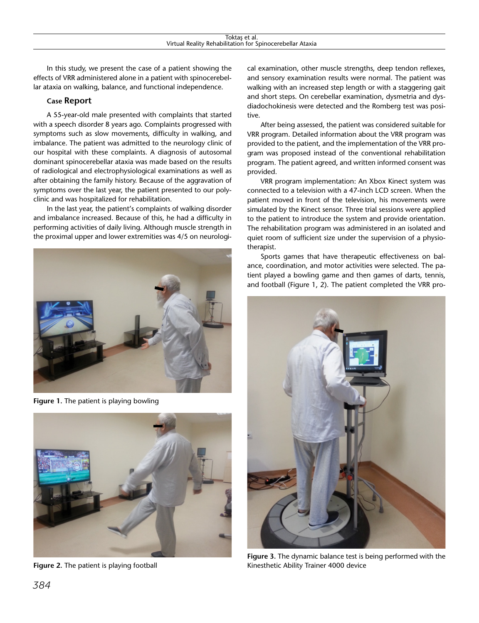In this study, we present the case of a patient showing the effects of VRR administered alone in a patient with spinocerebellar ataxia on walking, balance, and functional independence.

## **Case Report**

A 55-year-old male presented with complaints that started with a speech disorder 8 years ago. Complaints progressed with symptoms such as slow movements, difficulty in walking, and imbalance. The patient was admitted to the neurology clinic of our hospital with these complaints. A diagnosis of autosomal dominant spinocerebellar ataxia was made based on the results of radiological and electrophysiological examinations as well as after obtaining the family history. Because of the aggravation of symptoms over the last year, the patient presented to our polyclinic and was hospitalized for rehabilitation.

In the last year, the patient's complaints of walking disorder and imbalance increased. Because of this, he had a difficulty in performing activities of daily living. Although muscle strength in the proximal upper and lower extremities was 4/5 on neurologi-



**Figure 1.** The patient is playing bowling



**Figure 2.** The patient is playing football

cal examination, other muscle strengths, deep tendon reflexes, and sensory examination results were normal. The patient was walking with an increased step length or with a staggering gait and short steps. On cerebellar examination, dysmetria and dysdiadochokinesis were detected and the Romberg test was positive.

After being assessed, the patient was considered suitable for VRR program. Detailed information about the VRR program was provided to the patient, and the implementation of the VRR program was proposed instead of the conventional rehabilitation program. The patient agreed, and written informed consent was provided.

VRR program implementation: An Xbox Kinect system was connected to a television with a 47-inch LCD screen. When the patient moved in front of the television, his movements were simulated by the Kinect sensor. Three trial sessions were applied to the patient to introduce the system and provide orientation. The rehabilitation program was administered in an isolated and quiet room of sufficient size under the supervision of a physiotherapist.

Sports games that have therapeutic effectiveness on balance, coordination, and motor activities were selected. The patient played a bowling game and then games of darts, tennis, and football (Figure 1, 2). The patient completed the VRR pro-



**Figure 3.** The dynamic balance test is being performed with the Kinesthetic Ability Trainer 4000 device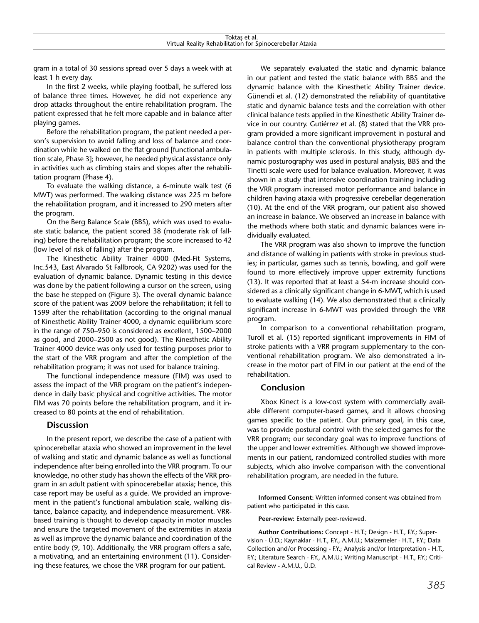gram in a total of 30 sessions spread over 5 days a week with at least 1 h every day.

In the first 2 weeks, while playing football, he suffered loss of balance three times. However, he did not experience any drop attacks throughout the entire rehabilitation program. The patient expressed that he felt more capable and in balance after playing games.

Before the rehabilitation program, the patient needed a person's supervision to avoid falling and loss of balance and coordination while he walked on the flat ground [functional ambulation scale, Phase 3]; however, he needed physical assistance only in activities such as climbing stairs and slopes after the rehabilitation program (Phase 4).

To evaluate the walking distance, a 6-minute walk test (6 MWT) was performed. The walking distance was 225 m before the rehabilitation program, and it increased to 290 meters after the program.

On the Berg Balance Scale (BBS), which was used to evaluate static balance, the patient scored 38 (moderate risk of falling) before the rehabilitation program; the score increased to 42 (low level of risk of falling) after the program.

The Kinesthetic Ability Trainer 4000 (Med-Fit Systems, Inc.543, East Alvarado St Fallbrook, CA 9202) was used for the evaluation of dynamic balance. Dynamic testing in this device was done by the patient following a cursor on the screen, using the base he stepped on (Figure 3). The overall dynamic balance score of the patient was 2009 before the rehabilitation; it fell to 1599 after the rehabilitation (according to the original manual of Kinesthetic Ability Trainer 4000, a dynamic equilibrium score in the range of 750–950 is considered as excellent, 1500–2000 as good, and 2000–2500 as not good). The Kinesthetic Ability Trainer 4000 device was only used for testing purposes prior to the start of the VRR program and after the completion of the rehabilitation program; it was not used for balance training.

The functional independence measure (FIM) was used to assess the impact of the VRR program on the patient's independence in daily basic physical and cognitive activities. The motor FIM was 70 points before the rehabilitation program, and it increased to 80 points at the end of rehabilitation.

## **Discussion**

In the present report, we describe the case of a patient with spinocerebellar ataxia who showed an improvement in the level of walking and static and dynamic balance as well as functional independence after being enrolled into the VRR program. To our knowledge, no other study has shown the effects of the VRR program in an adult patient with spinocerebellar ataxia; hence, this case report may be useful as a guide. We provided an improvement in the patient's functional ambulation scale, walking distance, balance capacity, and independence measurement. VRRbased training is thought to develop capacity in motor muscles and ensure the targeted movement of the extremities in ataxia as well as improve the dynamic balance and coordination of the entire body (9, 10). Additionally, the VRR program offers a safe, a motivating, and an entertaining environment (11). Considering these features, we chose the VRR program for our patient.

We separately evaluated the static and dynamic balance in our patient and tested the static balance with BBS and the dynamic balance with the Kinesthetic Ability Trainer device. Günendi et al. (12) demonstrated the reliability of quantitative static and dynamic balance tests and the correlation with other clinical balance tests applied in the Kinesthetic Ability Trainer device in our country. Gutiérrez et al. (8) stated that the VRR program provided a more significant improvement in postural and balance control than the conventional physiotherapy program in patients with multiple sclerosis. In this study, although dynamic posturography was used in postural analysis, BBS and the Tinetti scale were used for balance evaluation. Moreover, it was shown in a study that intensive coordination training including the VRR program increased motor performance and balance in children having ataxia with progressive cerebellar degeneration (10). At the end of the VRR program, our patient also showed an increase in balance. We observed an increase in balance with the methods where both static and dynamic balances were individually evaluated.

The VRR program was also shown to improve the function and distance of walking in patients with stroke in previous studies; in particular, games such as tennis, bowling, and golf were found to more effectively improve upper extremity functions (13). It was reported that at least a 54-m increase should considered as a clinically significant change in 6-MWT, which is used to evaluate walking (14). We also demonstrated that a clinically significant increase in 6-MWT was provided through the VRR program.

In comparison to a conventional rehabilitation program, Turoll et al. (15) reported significant improvements in FIM of stroke patients with a VRR program supplementary to the conventional rehabilitation program. We also demonstrated a increase in the motor part of FIM in our patient at the end of the rehabilitation.

#### **Conclusion**

Xbox Kinect is a low-cost system with commercially available different computer-based games, and it allows choosing games specific to the patient. Our primary goal, in this case, was to provide postural control with the selected games for the VRR program; our secondary goal was to improve functions of the upper and lower extremities. Although we showed improvements in our patient, randomized controlled studies with more subjects, which also involve comparison with the conventional rehabilitation program, are needed in the future.

**Informed Consent:** Written informed consent was obtained from patient who participated in this case.

**Peer-review:** Externally peer-reviewed.

**Author Contributions:** Concept - H.T.; Design - H.T., F.Y.; Supervision - Ü.D.; Kaynaklar - H.T., F.Y., A.M.U.; Malzemeler - H.T., F.Y.; Data Collection and/or Processing - F.Y.; Analysis and/or Interpretation - H.T., F.Y.; Literature Search - F.Y., A.M.U.; Writing Manuscript - H.T., F.Y.; Critical Review - A.M.U., Ü.D.